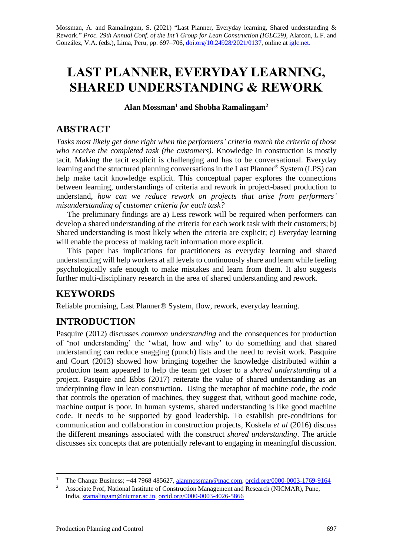Mossman, A. and Ramalingam, S. (2021) "Last Planner, Everyday learning, Shared understanding & Rework." *Proc. 29th Annual Conf. of the Int'l Group for Lean Construction (IGLC29)*, Alarcon, L.F. and González, V.A. (eds.), Lima, Peru, pp. 697–706[, doi.org/10.24928/2021/0137,](https://doi.org/10.24928/2021/0137) online a[t iglc.net.](http://iglc.net/)

# **LAST PLANNER, EVERYDAY LEARNING, SHARED UNDERSTANDING & REWORK**

**Alan Mossman<sup>1</sup> and Shobha Ramalingam<sup>2</sup>**

### **ABSTRACT**

*Tasks most likely get done right when the performers' criteria match the criteria of those who receive the completed task (the customers).* Knowledge in construction is mostly tacit. Making the tacit explicit is challenging and has to be conversational. Everyday learning and the structured planning conversations in the Last Planner® System (LPS) can help make tacit knowledge explicit. This conceptual paper explores the connections between learning, understandings of criteria and rework in project-based production to understand, *how can we reduce rework on projects that arise from performers' misunderstanding of customer criteria for each task?*

The preliminary findings are a) Less rework will be required when performers can develop a shared understanding of the criteria for each work task with their customers; b) Shared understanding is most likely when the criteria are explicit; c) Everyday learning will enable the process of making tacit information more explicit.

This paper has implications for practitioners as everyday learning and shared understanding will help workers at all levels to continuously share and learn while feeling psychologically safe enough to make mistakes and learn from them. It also suggests further multi-disciplinary research in the area of shared understanding and rework.

# **KEYWORDS**

Reliable promising, Last Planner® System, flow, rework, everyday learning.

# **INTRODUCTION**

Pasquire (2012) discusses *common understanding* and the consequences for production of 'not understanding' the 'what, how and why' to do something and that shared understanding can reduce snagging (punch) lists and the need to revisit work. Pasquire and Court (2013) showed how bringing together the knowledge distributed within a production team appeared to help the team get closer to a *shared understanding* of a project. Pasquire and Ebbs (2017) reiterate the value of shared understanding as an underpinning flow in lean construction. Using the metaphor of machine code, the code that controls the operation of machines, they suggest that, without good machine code, machine output is poor. In human systems, shared understanding is like good machine code. It needs to be supported by good leadership. To establish pre-conditions for communication and collaboration in construction projects, Koskela *et al* (2016) discuss the different meanings associated with the construct *shared understanding*. The article discusses six concepts that are potentially relevant to engaging in meaningful discussion.

<sup>&</sup>lt;sup>1</sup> The Change Business; +44 7968 485627, [alanmossman@mac.com,](mailto:alanmossman@mac.com) [orcid.org/0000-0003-1769-9164](https://orcid.org/0000-0003-1769-9164)

<sup>2</sup> Associate Prof, National Institute of Construction Management and Research (NICMAR), Pune, India, [sramalingam@nicmar.ac.in,](mailto:sramalingam@nicmar.ac.in) [orcid.org/0000-0003-4026-5866](https://orcid.org/0000-0003-4026-5866)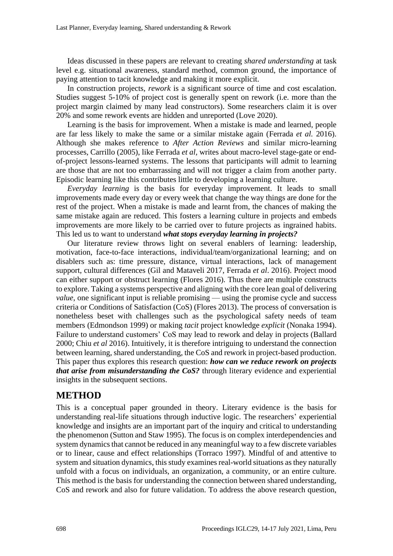Ideas discussed in these papers are relevant to creating *shared understanding* at task level e.g. situational awareness, standard method, common ground, the importance of paying attention to tacit knowledge and making it more explicit.

In construction projects, *rework* is a significant source of time and cost escalation. Studies suggest 5-10% of project cost is generally spent on rework (i.e. more than the project margin claimed by many lead constructors). Some researchers claim it is over 20% and some rework events are hidden and unreported (Love 2020).

Learning is the basis for improvement. When a mistake is made and learned, people are far less likely to make the same or a similar mistake again (Ferrada *et al.* 2016). Although she makes reference to *After Action Reviews* and similar micro-learning processes, Carrillo (2005), like Ferrada *et al,* writes about macro-level stage-gate or endof-project lessons-learned systems. The lessons that participants will admit to learning are those that are not too embarrassing and will not trigger a claim from another party. Episodic learning like this contributes little to developing a learning culture.

*Everyday learning* is the basis for everyday improvement. It leads to small improvements made every day or every week that change the way things are done for the rest of the project. When a mistake is made and learnt from, the chances of making the same mistake again are reduced. This fosters a learning culture in projects and embeds improvements are more likely to be carried over to future projects as ingrained habits. This led us to want to understand *what stops everyday learning in projects?*

Our literature review throws light on several enablers of learning: leadership, motivation, face-to-face interactions, individual/team/organizational learning; and on disablers such as: time pressure, distance, virtual interactions, lack of management support, cultural differences (Gil and Mataveli 2017, Ferrada *et al*. 2016). Project mood can either support or obstruct learning (Flores 2016). Thus there are multiple constructs to explore. Taking a systems perspective and aligning with the core lean goal of delivering *value*, one significant input is reliable promising — using the promise cycle and success criteria or Conditions of Satisfaction (CoS) (Flores 2013). The process of conversation is nonetheless beset with challenges such as the psychological safety needs of team members (Edmondson 1999) or making *tacit* project knowledge *explicit* (Nonaka 1994). Failure to understand customers' CoS may lead to rework and delay in projects (Ballard 2000; Chiu *et al* 2016). Intuitively, it is therefore intriguing to understand the connection between learning, shared understanding, the CoS and rework in project-based production. This paper thus explores this research question: *how can we reduce rework on projects that arise from misunderstanding the CoS?* through literary evidence and experiential insights in the subsequent sections.

### **METHOD**

This is a conceptual paper grounded in theory. Literary evidence is the basis for understanding real-life situations through inductive logic. The researchers' experiential knowledge and insights are an important part of the inquiry and critical to understanding the phenomenon (Sutton and Staw 1995). The focus is on complex interdependencies and system dynamics that cannot be reduced in any meaningful way to a few discrete variables or to linear, cause and effect relationships (Torraco 1997). Mindful of and attentive to system and situation dynamics, this study examines real-world situations as they naturally unfold with a focus on individuals, an organization, a community, or an entire culture. This method is the basis for understanding the connection between shared understanding, CoS and rework and also for future validation. To address the above research question,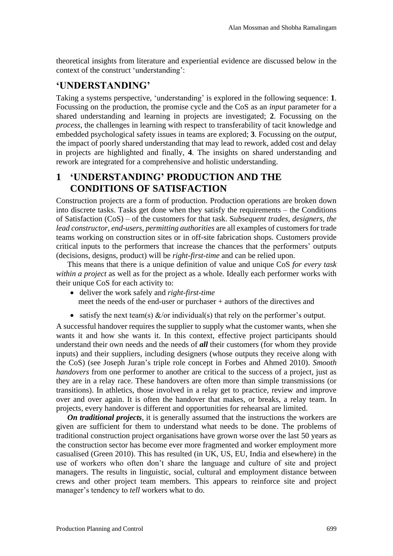theoretical insights from literature and experiential evidence are discussed below in the context of the construct 'understanding':

#### **'UNDERSTANDING'**

Taking a systems perspective, 'understanding' is explored in the following sequence: **1**. Focussing on the production, the promise cycle and the CoS as an *input* parameter for a shared understanding and learning in projects are investigated; **2**. Focussing on the *process*, the challenges in learning with respect to transferability of tacit knowledge and embedded psychological safety issues in teams are explored; **3**. Focussing on the *output*, the impact of poorly shared understanding that may lead to rework, added cost and delay in projects are highlighted and finally, **4**. The insights on shared understanding and rework are integrated for a comprehensive and holistic understanding.

# **1 'UNDERSTANDING' PRODUCTION AND THE CONDITIONS OF SATISFACTION**

Construction projects are a form of production. Production operations are broken down into discrete tasks. Tasks get done when they satisfy the requirements – the Conditions of Satisfaction (CoS) – of the customers for that task. S*ubsequent trades, designers, the lead constructor, end-users, permitting authorities* are all examples of customers for trade teams working on construction sites or in off-site fabrication shops. Customers provide critical inputs to the performers that increase the chances that the performers' outputs (decisions, designs, product) will be *right-first-time* and can be relied upon.

This means that there is a unique definition of value and unique CoS *for every task within a project* as well as for the project as a whole*.* Ideally each performer works with their unique CoS for each activity to:

- deliver the work safely and *right-first-time* meet the needs of the end-user or purchaser + authors of the directives and
- satisfy the next team(s)  $\&$ /or individual(s) that rely on the performer's output.

A successful handover requires the supplier to supply what the customer wants, when she wants it and how she wants it. In this context, effective project participants should understand their own needs and the needs of *all* their customers (for whom they provide inputs) and their suppliers, including designers (whose outputs they receive along with the CoS) (see Joseph Juran's triple role concept in Forbes and Ahmed 2010). *Smooth handovers* from one performer to another are critical to the success of a project, just as they are in a relay race. These handovers are often more than simple transmissions (or transitions). In athletics, those involved in a relay get to practice, review and improve over and over again. It is often the handover that makes, or breaks, a relay team. In projects, every handover is different and opportunities for rehearsal are limited.

*On traditional projects*, it is generally assumed that the instructions the workers are given are sufficient for them to understand what needs to be done. The problems of traditional construction project organisations have grown worse over the last 50 years as the construction sector has become ever more fragmented and worker employment more casualised (Green 2010). This has resulted (in UK, US, EU, India and elsewhere) in the use of workers who often don't share the language and culture of site and project managers. The results in linguistic, social, cultural and employment distance between crews and other project team members. This appears to reinforce site and project manager's tendency to *tell* workers what to do.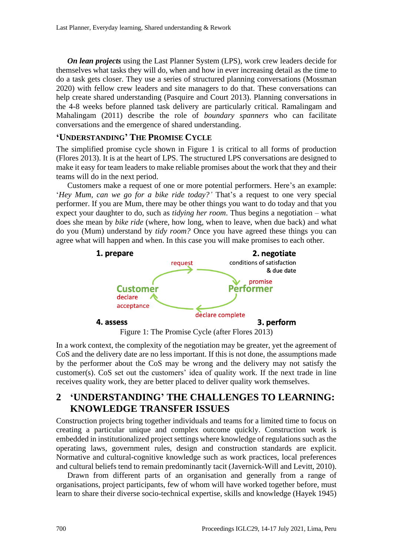*On lean projects* using the Last Planner System (LPS), work crew leaders decide for themselves what tasks they will do, when and how in ever increasing detail as the time to do a task gets closer. They use a series of structured planning conversations (Mossman 2020) with fellow crew leaders and site managers to do that. These conversations can help create shared understanding (Pasquire and Court 2013). Planning conversations in the 4-8 weeks before planned task delivery are particularly critical. Ramalingam and Mahalingam (2011) describe the role of *boundary spanners* who can facilitate conversations and the emergence of shared understanding.

#### **'UNDERSTANDING' THE PROMISE CYCLE**

The simplified promise cycle shown in Figure 1 is critical to all forms of production (Flores 2013). It is at the heart of LPS. The structured LPS conversations are designed to make it easy for team leaders to make reliable promises about the work that they and their teams will do in the next period.

Customers make a request of one or more potential performers. Here's an example: '*Hey Mum, can we go for a bike ride today?'* That's a request to one very special performer. If you are Mum, there may be other things you want to do today and that you expect your daughter to do, such as *tidying her room*. Thus begins a negotiation – what does she mean by *bike ride* (where, how long, when to leave, when due back) and what do you (Mum) understand by *tidy room?* Once you have agreed these things you can agree what will happen and when. In this case you will make promises to each other.



Figure 1: The Promise Cycle (after Flores 2013)

In a work context, the complexity of the negotiation may be greater, yet the agreement of CoS and the delivery date are no less important. If this is not done, the assumptions made by the performer about the CoS may be wrong and the delivery may not satisfy the customer(s). CoS set out the customers' idea of quality work. If the next trade in line receives quality work, they are better placed to deliver quality work themselves.

# **2 'UNDERSTANDING' THE CHALLENGES TO LEARNING: KNOWLEDGE TRANSFER ISSUES**

Construction projects bring together individuals and teams for a limited time to focus on creating a particular unique and complex outcome quickly. Construction work is embedded in institutionalized project settings where knowledge of regulations such as the operating laws, government rules, design and construction standards are explicit. Normative and cultural-cognitive knowledge such as work practices, local preferences and cultural beliefs tend to remain predominantly tacit (Javernick-Will and Levitt, 2010).

Drawn from different parts of an organisation and generally from a range of organisations, project participants, few of whom will have worked together before, must learn to share their diverse socio-technical expertise, skills and knowledge (Hayek 1945)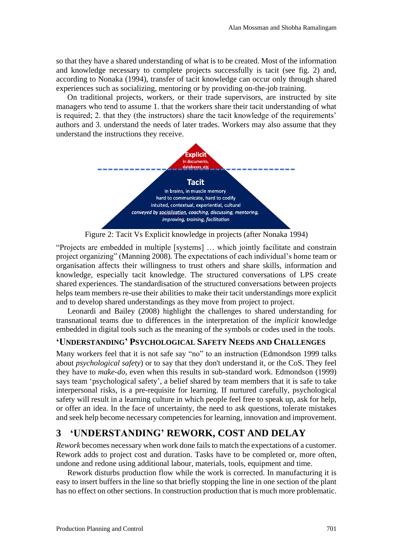so that they have a shared understanding of what is to be created. Most of the information and knowledge necessary to complete projects successfully is tacit (see fig. 2) and, according to Nonaka (1994), transfer of tacit knowledge can occur only through shared experiences such as socializing, mentoring or by providing on-the-job training.

On traditional projects, workers, or their trade supervisors, are instructed by site managers who tend to assume 1. that the workers share their tacit understanding of what is required; 2. that they (the instructors) share the tacit knowledge of the requirements' authors and 3. understand the needs of later trades. Workers may also assume that they understand the instructions they receive.



Figure 2: Tacit Vs Explicit knowledge in projects (after Nonaka 1994)

"Projects are embedded in multiple [systems] … which jointly facilitate and constrain project organizing" (Manning 2008). The expectations of each individual's home team or organisation affects their willingness to trust others and share skills, information and knowledge, especially tacit knowledge. The structured conversations of LPS create shared experiences. The standardisation of the structured conversations between projects helps team members re-use their abilities to make their tacit understandings more explicit and to develop shared understandings as they move from project to project.

Leonardi and Bailey (2008) highlight the challenges to shared understanding for transnational teams due to differences in the interpretation of the *implicit* knowledge embedded in digital tools such as the meaning of the symbols or codes used in the tools.

#### **'UNDERSTANDING' PSYCHOLOGICAL SAFETY NEEDS AND CHALLENGES**

Many workers feel that it is not safe say "no" to an instruction (Edmondson 1999 talks about *psychological safety*) or to say that they don't understand it, or the CoS. They feel they have to *make-do*, even when this results in sub-standard work. Edmondson (1999) says team 'psychological safety', a belief shared by team members that it is safe to take interpersonal risks, is a pre-requisite for learning. If nurtured carefully, psychological safety will result in a learning culture in which people feel free to speak up, ask for help, or offer an idea. In the face of uncertainty, the need to ask questions, tolerate mistakes and seek help become necessary competencies for learning, innovation and improvement.

# **3 'UNDERSTANDING' REWORK, COST AND DELAY**

*Rework* becomes necessary when work done fails to match the expectations of a customer. Rework adds to project cost and duration. Tasks have to be completed or, more often, undone and redone using additional labour, materials, tools, equipment and time.

Rework disturbs production flow while the work is corrected. In manufacturing it is easy to insert buffers in the line so that briefly stopping the line in one section of the plant has no effect on other sections. In construction production that is much more problematic.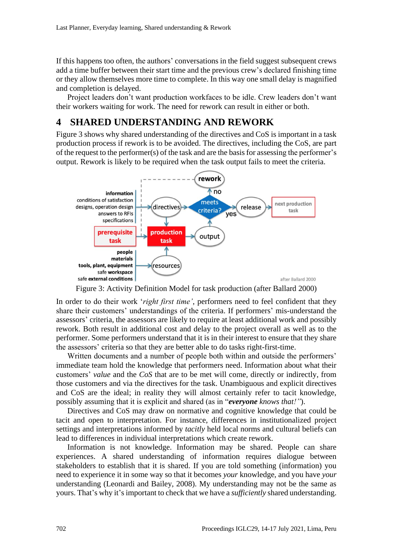If this happens too often, the authors' conversations in the field suggest subsequent crews add a time buffer between their start time and the previous crew's declared finishing time or they allow themselves more time to complete. In this way one small delay is magnified and completion is delayed.

Project leaders don't want production workfaces to be idle. Crew leaders don't want their workers waiting for work. The need for rework can result in either or both.

### **4 SHARED UNDERSTANDING AND REWORK**

Figure 3 shows why shared understanding of the directives and CoS is important in a task production process if rework is to be avoided. The directives, including the CoS, are part of the request to the performer(s) of the task and are the basis for assessing the performer's output. Rework is likely to be required when the task output fails to meet the criteria.



Figure 3: Activity Definition Model for task production (after Ballard 2000)

In order to do their work '*right first time'*, performers need to feel confident that they share their customers' understandings of the criteria. If performers' mis-understand the assessors' criteria, the assessors are likely to require at least additional work and possibly rework. Both result in additional cost and delay to the project overall as well as to the performer. Some performers understand that it is in their interest to ensure that they share the assessors' criteria so that they are better able to do tasks right-first-time.

Written documents and a number of people both within and outside the performers' immediate team hold the knowledge that performers need. Information about what their customers' *value* and the *CoS* that are to be met will come, directly or indirectly, from those customers and via the directives for the task. Unambiguous and explicit directives and CoS are the ideal; in reality they will almost certainly refer to tacit knowledge, possibly assuming that it is explicit and shared (as in "*everyone knows that!"*).

Directives and CoS may draw on normative and cognitive knowledge that could be tacit and open to interpretation. For instance, differences in institutionalized project settings and interpretations informed by *tacitly* held local norms and cultural beliefs can lead to differences in individual interpretations which create rework.

Information is not knowledge. Information may be shared. People can share experiences. A shared understanding of information requires dialogue between stakeholders to establish that it is shared. If you are told something (information) you need to experience it in some way so that it becomes *your* knowledge, and you have *your* understanding (Leonardi and Bailey, 2008). My understanding may not be the same as yours. That's why it's important to check that we have a *sufficiently* shared understanding.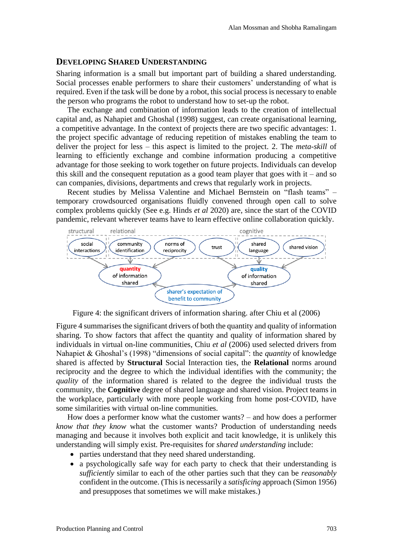#### **DEVELOPING SHARED UNDERSTANDING**

Sharing information is a small but important part of building a shared understanding. Social processes enable performers to share their customers' understanding of what is required. Even if the task will be done by a robot, this social process is necessary to enable the person who programs the robot to understand how to set-up the robot.

The exchange and combination of information leads to the creation of intellectual capital and, as Nahapiet and Ghoshal (1998) suggest, can create organisational learning, a competitive advantage. In the context of projects there are two specific advantages: 1. the project specific advantage of reducing repetition of mistakes enabling the team to deliver the project for less – this aspect is limited to the project. 2. The *meta-skill* of learning to efficiently exchange and combine information producing a competitive advantage for those seeking to work together on future projects. Individuals can develop this skill and the consequent reputation as a good team player that goes with  $it$  – and so can companies, divisions, departments and crews that regularly work in projects.

Recent studies by Melissa Valentine and Michael Bernstein on "flash teams" – temporary crowdsourced organisations fluidly convened through open call to solve complex problems quickly (See e.g. Hinds *et al* 2020) are, since the start of the COVID pandemic, relevant wherever teams have to learn effective online collaboration quickly.



Figure 4: the significant drivers of information sharing. after Chiu et al (2006)

Figure 4 summarises the significant drivers of both the quantity and quality of information sharing. To show factors that affect the quantity and quality of information shared by individuals in virtual on-line communities, Chiu *et al* (2006) used selected drivers from Nahapiet & Ghoshal's (1998) "dimensions of social capital": the *quantity* of knowledge shared is affected by **Structural** Social Interaction ties, the **Relational** norms around reciprocity and the degree to which the individual identifies with the community; the *quality* of the information shared is related to the degree the individual trusts the community, the **Cognitive** degree of shared language and shared vision. Project teams in the workplace, particularly with more people working from home post-COVID, have some similarities with virtual on-line communities.

How does a performer know what the customer wants? – and how does a performer *know that they know* what the customer wants? Production of understanding needs managing and because it involves both explicit and tacit knowledge, it is unlikely this understanding will simply exist. Pre-requisites for *shared understanding* include:

- parties understand that they need shared understanding.
- a psychologically safe way for each party to check that their understanding is *sufficiently* similar to each of the other parties such that they can be *reasonably* confident in the outcome. (This is necessarily a *satisficing* approach (Simon 1956) and presupposes that sometimes we will make mistakes.)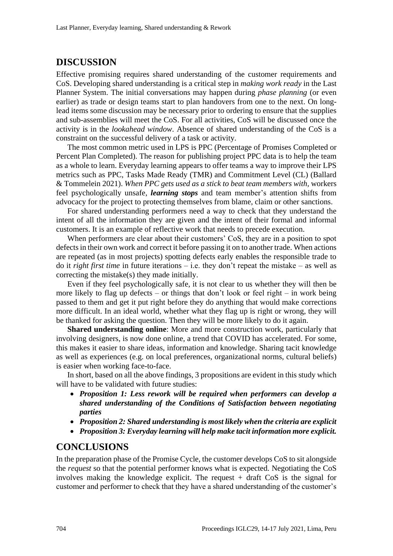### **DISCUSSION**

Effective promising requires shared understanding of the customer requirements and CoS. Developing shared understanding is a critical step in *making work ready* in the Last Planner System. The initial conversations may happen during *phase planning* (or even earlier) as trade or design teams start to plan handovers from one to the next. On longlead items some discussion may be necessary prior to ordering to ensure that the supplies and sub-assemblies will meet the CoS. For all activities, CoS will be discussed once the activity is in the *lookahead window*. Absence of shared understanding of the CoS is a constraint on the successful delivery of a task or activity.

The most common metric used in LPS is PPC (Percentage of Promises Completed or Percent Plan Completed). The reason for publishing project PPC data is to help the team as a whole to learn. Everyday learning appears to offer teams a way to improve their LPS metrics such as PPC, Tasks Made Ready (TMR) and Commitment Level (CL) (Ballard & Tommelein 2021). *When PPC gets used as a stick to beat team members with,* workers feel psychologically unsafe, *learning stops* and team member's attention shifts from advocacy for the project to protecting themselves from blame, claim or other sanctions.

For shared understanding performers need a way to check that they understand the intent of all the information they are given and the intent of their formal and informal customers. It is an example of reflective work that needs to precede execution.

When performers are clear about their customers' CoS, they are in a position to spot defects in their own work and correct it before passing it on to another trade. When actions are repeated (as in most projects) spotting defects early enables the responsible trade to do it *right first time* in future iterations – i.e. they don't repeat the mistake – as well as correcting the mistake(s) they made initially.

Even if they feel psychologically safe, it is not clear to us whether they will then be more likely to flag up defects – or things that don't look or feel right – in work being passed to them and get it put right before they do anything that would make corrections more difficult. In an ideal world, whether what they flag up is right or wrong, they will be thanked for asking the question. Then they will be more likely to do it again.

**Shared understanding online**: More and more construction work, particularly that involving designers, is now done online, a trend that COVID has accelerated. For some, this makes it easier to share ideas, information and knowledge. Sharing tacit knowledge as well as experiences (e.g. on local preferences, organizational norms, cultural beliefs) is easier when working face-to-face.

In short, based on all the above findings, 3 propositions are evident in this study which will have to be validated with future studies:

- *Proposition 1: Less rework will be required when performers can develop a shared understanding of the Conditions of Satisfaction between negotiating parties*
- *Proposition 2: Shared understanding is most likely when the criteria are explicit*
- *Proposition 3: Everyday learning will help make tacit information more explicit.*

### **CONCLUSIONS**

In the preparation phase of the Promise Cycle, the customer develops CoS to sit alongside the *request* so that the potential performer knows what is expected. Negotiating the CoS involves making the knowledge explicit. The request + draft CoS is the signal for customer and performer to check that they have a shared understanding of the customer's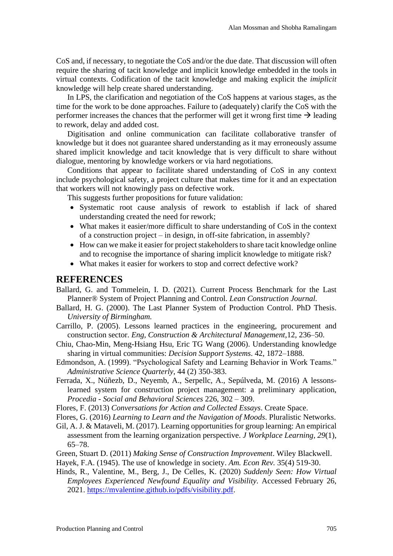CoS and, if necessary, to negotiate the CoS and/or the due date. That discussion will often require the sharing of tacit knowledge and implicit knowledge embedded in the tools in virtual contexts. Codification of the tacit knowledge and making explicit the *imiplicit* knowledge will help create shared understanding.

In LPS, the clarification and negotiation of the CoS happens at various stages, as the time for the work to be done approaches. Failure to (adequately) clarify the CoS with the performer increases the chances that the performer will get it wrong first time  $\rightarrow$  leading to rework, delay and added cost.

Digitisation and online communication can facilitate collaborative transfer of knowledge but it does not guarantee shared understanding as it may erroneously assume shared implicit knowledge and tacit knowledge that is very difficult to share without dialogue, mentoring by knowledge workers or via hard negotiations.

Conditions that appear to facilitate shared understanding of CoS in any context include psychological safety, a project culture that makes time for it and an expectation that workers will not knowingly pass on defective work.

This suggests further propositions for future validation:

- Systematic root cause analysis of rework to establish if lack of shared understanding created the need for rework;
- What makes it easier/more difficult to share understanding of CoS in the context of a construction project – in design, in off-site fabrication, in assembly?
- How can we make it easier for project stakeholders to share tacit knowledge online and to recognise the importance of sharing implicit knowledge to mitigate risk?
- What makes it easier for workers to stop and correct defective work?

#### **REFERENCES**

- Ballard, G. and Tommelein, I. D. (2021). Current Process Benchmark for the Last Planner® System of Project Planning and Control*. Lean Construction Journal.*
- Ballard, H. G. (2000). The Last Planner System of Production Control. PhD Thesis. *University of Birmingham.*
- Carrillo, P. (2005). Lessons learned practices in the engineering, procurement and construction sector. *Eng, Construction & Architectural Management*,12, 236–50.
- Chiu, Chao-Min, Meng-Hsiang Hsu, Eric TG Wang (2006). Understanding knowledge sharing in virtual communities: *Decision Support Systems*. 42, 1872–1888.
- Edmondson, A. (1999). "Psychological Safety and Learning Behavior in Work Teams." *Administrative Science Quarterly*, 44 (2) 350-383.
- Ferrada, X., Núñezb, D., Neyemb, A., Serpellc, A., Sepúlveda, M. (2016) A lessonslearned system for construction project management: a preliminary application, *Procedia - Social and Behavioral Sciences* 226, 302 – 309.
- Flores, F. (2013) *Conversations for Action and Collected Essays*. Create Space.

Flores, G. (2016) *Learning to Learn and the Navigation of Moods*. Pluralistic Networks.

- Gil, A. J. & Mataveli, M. (2017). Learning opportunities for group learning: An empirical assessment from the learning organization perspective. *J Workplace Learning, 29*(1), 65–78.
- Green, Stuart D. (2011) *Making Sense of Construction Improvement*. Wiley Blackwell.
- Hayek, F.A. (1945). The use of knowledge in society. *Am. Econ Rev.* 35(4) 519-30.
- Hinds, R., Valentine, M., Berg, J., De Celles, K. (2020) *Suddenly Seen: How Virtual Employees Experienced Newfound Equality and Visibility.* Accessed February 26, 2021. [https://mvalentine.github.io/pdfs/visibility.pdf.](https://mvalentine.github.io/pdfs/visibility.pdf)